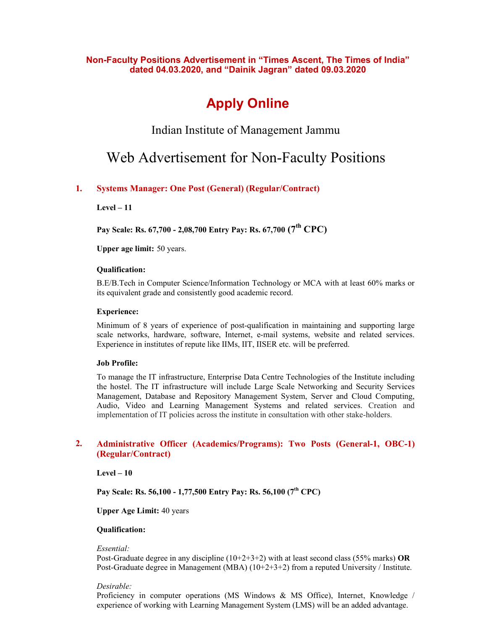**Non-Faculty Positions Advertisement in "Times Ascent, The Times of India" dated 04.03.2020, and "Dainik Jagran" dated 09.03.2020**

# **Apply Online**

Indian Institute of Management Jammu

# Web Advertisement for Non-Faculty Positions

## **1. Systems Manager: One Post (General) (Regular/Contract)**

**Level – 11** 

**Pay Scale: Rs. 67,700 - 2,08,700 Entry Pay: Rs. 67,700 (7th CPC)** 

**Upper age limit:** 50 years.

#### **Qualification:**

B.E/B.Tech in Computer Science/Information Technology or MCA with at least 60% marks or its equivalent grade and consistently good academic record.

#### **Experience:**

Minimum of 8 years of experience of post-qualification in maintaining and supporting large scale networks, hardware, software, Internet, e-mail systems, website and related services. Experience in institutes of repute like IIMs, IIT, IISER etc. will be preferred.

#### **Job Profile:**

To manage the IT infrastructure, Enterprise Data Centre Technologies of the Institute including the hostel. The IT infrastructure will include Large Scale Networking and Security Services Management, Database and Repository Management System, Server and Cloud Computing, Audio, Video and Learning Management Systems and related services. Creation and implementation of IT policies across the institute in consultation with other stake-holders.

## **2. Administrative Officer (Academics/Programs): Two Posts (General-1, OBC-1) (Regular/Contract)**

**Level – 10** 

**Pay Scale: Rs. 56,100 - 1,77,500 Entry Pay: Rs. 56,100 (7th CPC)** 

**Upper Age Limit:** 40 years

### **Qualification:**

#### *Essential:*

Post-Graduate degree in any discipline (10+2+3+2) with at least second class (55% marks) **OR**  Post-Graduate degree in Management (MBA) (10+2+3+2) from a reputed University / Institute.

#### *Desirable:*

Proficiency in computer operations (MS Windows & MS Office), Internet, Knowledge / experience of working with Learning Management System (LMS) will be an added advantage.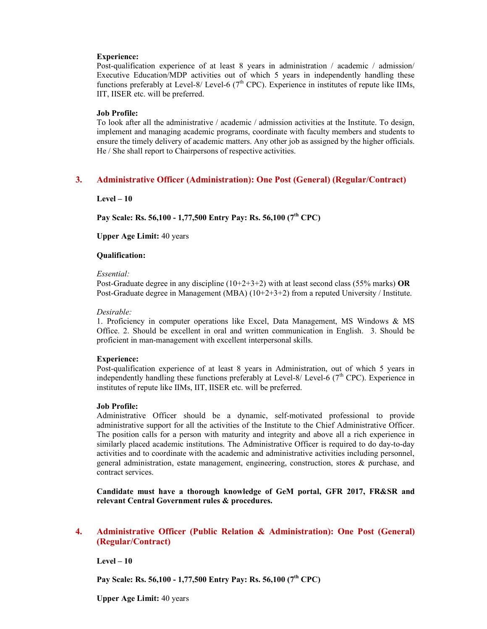#### **Experience:**

Post-qualification experience of at least 8 years in administration / academic / admission/ Executive Education/MDP activities out of which 5 years in independently handling these functions preferably at Level-8/ Level-6  $(7<sup>th</sup>$  CPC). Experience in institutes of repute like IIMs, IIT, IISER etc. will be preferred.

#### **Job Profile:**

To look after all the administrative / academic / admission activities at the Institute. To design, implement and managing academic programs, coordinate with faculty members and students to ensure the timely delivery of academic matters. Any other job as assigned by the higher officials. He / She shall report to Chairpersons of respective activities.

## **3. Administrative Officer (Administration): One Post (General) (Regular/Contract)**

**Level – 10** 

**Pay Scale: Rs. 56,100 - 1,77,500 Entry Pay: Rs. 56,100 (7th CPC)** 

**Upper Age Limit:** 40 years

#### **Qualification:**

#### *Essential:*

Post-Graduate degree in any discipline (10+2+3+2) with at least second class (55% marks) **OR**  Post-Graduate degree in Management (MBA) (10+2+3+2) from a reputed University / Institute.

#### *Desirable:*

1. Proficiency in computer operations like Excel, Data Management, MS Windows & MS Office. 2. Should be excellent in oral and written communication in English. 3. Should be proficient in man-management with excellent interpersonal skills.

#### **Experience:**

Post-qualification experience of at least 8 years in Administration, out of which 5 years in independently handling these functions preferably at Level-8/ Level-6 ( $7<sup>th</sup>$  CPC). Experience in institutes of repute like IIMs, IIT, IISER etc. will be preferred.

#### **Job Profile:**

Administrative Officer should be a dynamic, self-motivated professional to provide administrative support for all the activities of the Institute to the Chief Administrative Officer. The position calls for a person with maturity and integrity and above all a rich experience in similarly placed academic institutions. The Administrative Officer is required to do day-to-day activities and to coordinate with the academic and administrative activities including personnel, general administration, estate management, engineering, construction, stores & purchase, and contract services.

**Candidate must have a thorough knowledge of GeM portal, GFR 2017, FR&SR and relevant Central Government rules & procedures.** 

## **4. Administrative Officer (Public Relation & Administration): One Post (General) (Regular/Contract)**

**Level – 10** 

**Pay Scale: Rs. 56,100 - 1,77,500 Entry Pay: Rs. 56,100 (7th CPC)** 

**Upper Age Limit:** 40 years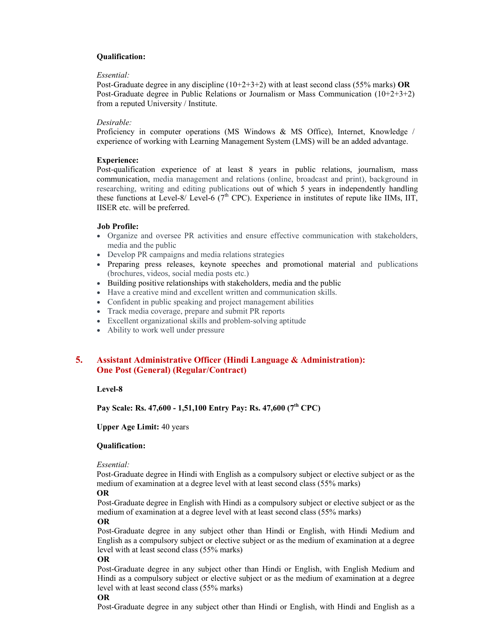## **Qualification:**

#### *Essential:*

Post-Graduate degree in any discipline (10+2+3+2) with at least second class (55% marks) **OR**  Post-Graduate degree in Public Relations or Journalism or Mass Communication (10+2+3+2) from a reputed University / Institute.

#### *Desirable:*

Proficiency in computer operations (MS Windows & MS Office), Internet, Knowledge / experience of working with Learning Management System (LMS) will be an added advantage.

#### **Experience:**

Post-qualification experience of at least 8 years in public relations, journalism, mass communication, media management and relations (online, broadcast and print), background in researching, writing and editing publications out of which 5 years in independently handling these functions at Level-8/ Level-6 ( $7<sup>th</sup>$  CPC). Experience in institutes of repute like IIMs, IIT, IISER etc. will be preferred.

#### **Job Profile:**

- · Organize and oversee PR activities and ensure effective communication with stakeholders, media and the public
- · Develop PR campaigns and media relations strategies
- · Preparing press releases, keynote speeches and promotional material and publications (brochures, videos, social media posts etc.)
- · Building positive relationships with stakeholders, media and the public
- · Have a creative mind and excellent written and communication skills.
- · Confident in public speaking and project management abilities
- · Track media coverage, prepare and submit PR reports
- · Excellent organizational skills and problem-solving aptitude
- Ability to work well under pressure

## **5. Assistant Administrative Officer (Hindi Language & Administration): One Post (General) (Regular/Contract)**

#### **Level-8**

**Pay Scale: Rs. 47,600 - 1,51,100 Entry Pay: Rs. 47,600 (7th CPC)** 

#### **Upper Age Limit:** 40 years

#### **Qualification:**

#### *Essential:*

Post-Graduate degree in Hindi with English as a compulsory subject or elective subject or as the medium of examination at a degree level with at least second class (55% marks)

## **OR**

Post-Graduate degree in English with Hindi as a compulsory subject or elective subject or as the medium of examination at a degree level with at least second class (55% marks)

#### **OR**

Post-Graduate degree in any subject other than Hindi or English, with Hindi Medium and English as a compulsory subject or elective subject or as the medium of examination at a degree level with at least second class (55% marks)

#### **OR**

Post-Graduate degree in any subject other than Hindi or English, with English Medium and Hindi as a compulsory subject or elective subject or as the medium of examination at a degree level with at least second class (55% marks)

#### **OR**

Post-Graduate degree in any subject other than Hindi or English, with Hindi and English as a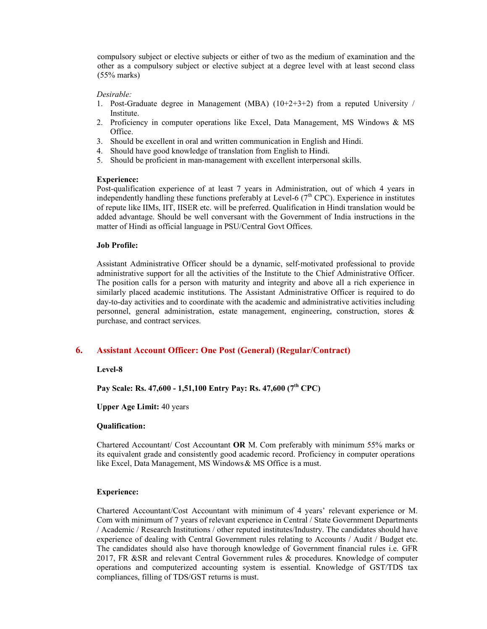compulsory subject or elective subjects or either of two as the medium of examination and the other as a compulsory subject or elective subject at a degree level with at least second class (55% marks)

#### *Desirable:*

- 1. Post-Graduate degree in Management (MBA) (10+2+3+2) from a reputed University / Institute.
- 2. Proficiency in computer operations like Excel, Data Management, MS Windows & MS Office.
- 3. Should be excellent in oral and written communication in English and Hindi.
- 4. Should have good knowledge of translation from English to Hindi.
- 5. Should be proficient in man-management with excellent interpersonal skills.

#### **Experience:**

Post-qualification experience of at least 7 years in Administration, out of which 4 years in independently handling these functions preferably at Level-6 ( $7<sup>th</sup>$  CPC). Experience in institutes of repute like IIMs, IIT, IISER etc. will be preferred. Qualification in Hindi translation would be added advantage. Should be well conversant with the Government of India instructions in the matter of Hindi as official language in PSU/Central Govt Offices.

#### **Job Profile:**

Assistant Administrative Officer should be a dynamic, self-motivated professional to provide administrative support for all the activities of the Institute to the Chief Administrative Officer. The position calls for a person with maturity and integrity and above all a rich experience in similarly placed academic institutions. The Assistant Administrative Officer is required to do day-to-day activities and to coordinate with the academic and administrative activities including personnel, general administration, estate management, engineering, construction, stores & purchase, and contract services.

## **6. Assistant Account Officer: One Post (General) (Regular/Contract)**

#### **Level-8**

**Pay Scale: Rs. 47,600 - 1,51,100 Entry Pay: Rs. 47,600 (7th CPC)** 

**Upper Age Limit:** 40 years

#### **Qualification:**

Chartered Accountant/ Cost Accountant **OR** M. Com preferably with minimum 55% marks or its equivalent grade and consistently good academic record. Proficiency in computer operations like Excel, Data Management, MS Windows & MS Office is a must.

#### **Experience:**

Chartered Accountant/Cost Accountant with minimum of 4 years' relevant experience or M. Com with minimum of 7 years of relevant experience in Central / State Government Departments / Academic / Research Institutions / other reputed institutes/Industry. The candidates should have experience of dealing with Central Government rules relating to Accounts / Audit / Budget etc. The candidates should also have thorough knowledge of Government financial rules i.e. GFR 2017, FR &SR and relevant Central Government rules & procedures. Knowledge of computer operations and computerized accounting system is essential. Knowledge of GST/TDS tax compliances, filling of TDS/GST returns is must.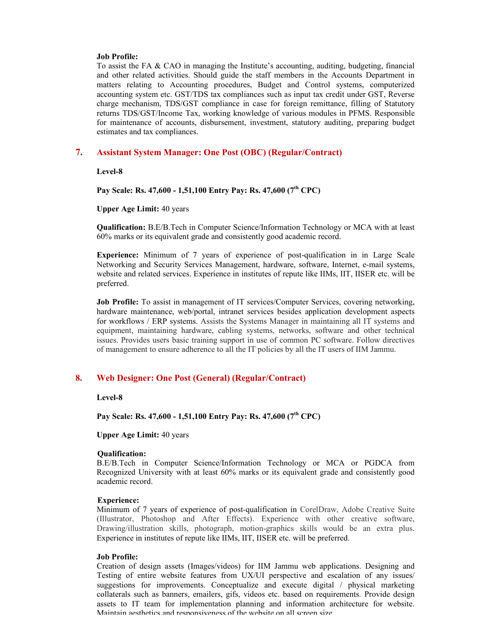#### **Job Profile:**

To assist the FA & CAO in managing the Institute's accounting, auditing, budgeting, financial and other related activities. Should guide the staff members in the Accounts Department in matters relating to Accounting procedures, Budget and Control systems, computerized accounting system etc. GST/TDS tax compliances such as input tax credit under GST, Reverse charge mechanism, TDS/GST compliance in case for foreign remittance, filling of Statutory returns TDS/GST/Income Tax, working knowledge of various modules in PFMS. Responsible for maintenance of accounts, disbursement, investment, statutory auditing, preparing budget estimates and tax compliances.

## **7. Assistant System Manager: One Post (OBC) (Regular/Contract)**

**Level-8** 

**Pay Scale: Rs. 47,600 - 1,51,100 Entry Pay: Rs. 47,600 (7th CPC)** 

**Upper Age Limit:** 40 years

**Qualification:** B.E/B.Tech in Computer Science/Information Technology or MCA with at least 60% marks or its equivalent grade and consistently good academic record.

**Experience:** Minimum of 7 years of experience of post-qualification in in Large Scale Networking and Security Services Management, hardware, software, Internet, e-mail systems, website and related services. Experience in institutes of repute like IIMs, IIT, IISER etc. will be preferred.

**Job Profile:** To assist in management of IT services/Computer Services, covering networking, hardware maintenance, web/portal, intranet services besides application development aspects for workflows / ERP systems. Assists the Systems Manager in maintaining all IT systems and equipment, maintaining hardware, cabling systems, networks, software and other technical issues. Provides users basic training support in use of common PC software. Follow directives of management to ensure adherence to all the IT policies by all the IT users of IIM Jammu.

## **8. Web Designer: One Post (General) (Regular/Contract)**

**Level-8** 

**Pay Scale: Rs. 47,600 - 1,51,100 Entry Pay: Rs. 47,600 (7th CPC)** 

**Upper Age Limit:** 40 years

#### **Qualification:**

B.E/B.Tech in Computer Science/Information Technology or MCA or PGDCA from Recognized University with at least 60% marks or its equivalent grade and consistently good academic record.

#### **Experience:**

Minimum of 7 years of experience of post-qualification in CorelDraw, Adobe Creative Suite (Illustrator, Photoshop and After Effects). Experience with other creative software, Drawing/illustration skills, photograph, motion-graphics skills would be an extra plus. Experience in institutes of repute like IIMs, IIT, IISER etc. will be preferred.

### **Job Profile:**

Creation of design assets (Images/videos) for IIM Jammu web applications. Designing and Testing of entire website features from UX/UI perspective and escalation of any issues/ suggestions for improvements. Conceptualize and execute digital / physical marketing collaterals such as banners, emailers, gifs, videos etc. based on requirements. Provide design assets to IT team for implementation planning and information architecture for website. Maintain aesthetics and responsiveness of the website on all screen size.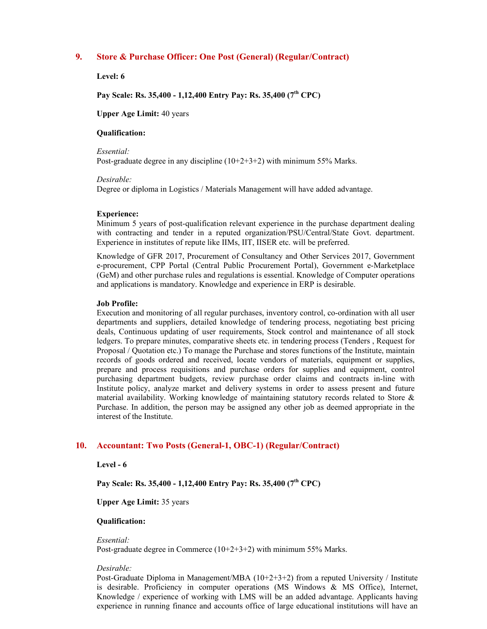## **9. Store & Purchase Officer: One Post (General) (Regular/Contract)**

**Level: 6** 

**Pay Scale: Rs. 35,400 - 1,12,400 Entry Pay: Rs. 35,400 (7th CPC)** 

**Upper Age Limit:** 40 years

#### **Qualification:**

*Essential:* 

Post-graduate degree in any discipline (10+2+3+2) with minimum 55% Marks.

#### *Desirable:*

Degree or diploma in Logistics / Materials Management will have added advantage.

#### **Experience:**

Minimum 5 years of post-qualification relevant experience in the purchase department dealing with contracting and tender in a reputed organization/PSU/Central/State Govt. department. Experience in institutes of repute like IIMs, IIT, IISER etc. will be preferred.

Knowledge of GFR 2017, Procurement of Consultancy and Other Services 2017, Government e-procurement, CPP Portal (Central Public Procurement Portal), Government e-Marketplace (GeM) and other purchase rules and regulations is essential. Knowledge of Computer operations and applications is mandatory. Knowledge and experience in ERP is desirable.

#### **Job Profile:**

Execution and monitoring of all regular purchases, inventory control, co-ordination with all user departments and suppliers, detailed knowledge of tendering process, negotiating best pricing deals, Continuous updating of user requirements, Stock control and maintenance of all stock ledgers. To prepare minutes, comparative sheets etc. in tendering process (Tenders , Request for Proposal / Quotation etc.) To manage the Purchase and stores functions of the Institute, maintain records of goods ordered and received, locate vendors of materials, equipment or supplies, prepare and process requisitions and purchase orders for supplies and equipment, control purchasing department budgets, review purchase order claims and contracts in-line with Institute policy, analyze market and delivery systems in order to assess present and future material availability. Working knowledge of maintaining statutory records related to Store & Purchase. In addition, the person may be assigned any other job as deemed appropriate in the interest of the Institute.

## **10. Accountant: Two Posts (General-1, OBC-1) (Regular/Contract)**

**Level - 6** 

**Pay Scale: Rs. 35,400 - 1,12,400 Entry Pay: Rs. 35,400 (7th CPC)** 

**Upper Age Limit:** 35 years

#### **Qualification:**

*Essential:* 

Post-graduate degree in Commerce (10+2+3+2) with minimum 55% Marks.

#### *Desirable:*

Post-Graduate Diploma in Management/MBA (10+2+3+2) from a reputed University / Institute is desirable. Proficiency in computer operations (MS Windows & MS Office), Internet, Knowledge / experience of working with LMS will be an added advantage. Applicants having experience in running finance and accounts office of large educational institutions will have an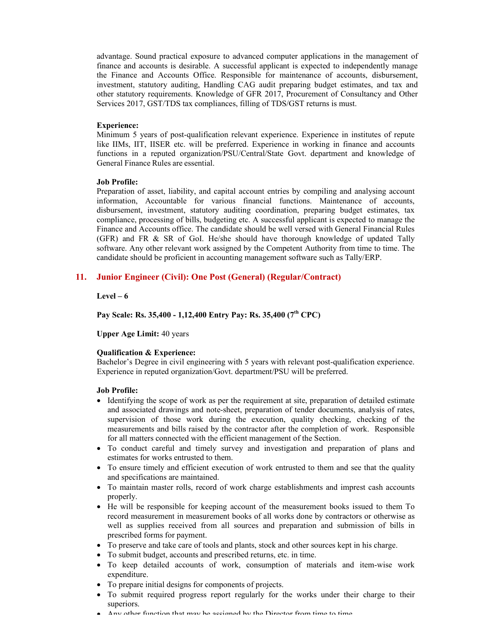advantage. Sound practical exposure to advanced computer applications in the management of finance and accounts is desirable. A successful applicant is expected to independently manage the Finance and Accounts Office. Responsible for maintenance of accounts, disbursement, investment, statutory auditing, Handling CAG audit preparing budget estimates, and tax and other statutory requirements. Knowledge of GFR 2017, Procurement of Consultancy and Other Services 2017, GST/TDS tax compliances, filling of TDS/GST returns is must.

#### **Experience:**

Minimum 5 years of post-qualification relevant experience. Experience in institutes of repute like IIMs, IIT, IISER etc. will be preferred. Experience in working in finance and accounts functions in a reputed organization/PSU/Central/State Govt. department and knowledge of General Finance Rules are essential.

#### **Job Profile:**

Preparation of asset, liability, and capital account entries by compiling and analysing account information, Accountable for various financial functions. Maintenance of accounts, disbursement, investment, statutory auditing coordination, preparing budget estimates, tax compliance, processing of bills, budgeting etc. A successful applicant is expected to manage the Finance and Accounts office. The candidate should be well versed with General Financial Rules (GFR) and FR & SR of GoI. He/she should have thorough knowledge of updated Tally software. Any other relevant work assigned by the Competent Authority from time to time. The candidate should be proficient in accounting management software such as Tally/ERP.

## **11. Junior Engineer (Civil): One Post (General) (Regular/Contract)**

#### **Level – 6**

## **Pay Scale: Rs. 35,400 - 1,12,400 Entry Pay: Rs. 35,400 (7th CPC)**

**Upper Age Limit:** 40 years

#### **Qualification & Experience:**

Bachelor's Degree in civil engineering with 5 years with relevant post-qualification experience. Experience in reputed organization/Govt. department/PSU will be preferred.

#### **Job Profile:**

- Identifying the scope of work as per the requirement at site, preparation of detailed estimate and associated drawings and note-sheet, preparation of tender documents, analysis of rates, supervision of those work during the execution, quality checking, checking of the measurements and bills raised by the contractor after the completion of work. Responsible for all matters connected with the efficient management of the Section.
- · To conduct careful and timely survey and investigation and preparation of plans and estimates for works entrusted to them.
- To ensure timely and efficient execution of work entrusted to them and see that the quality and specifications are maintained.
- · To maintain master rolls, record of work charge establishments and imprest cash accounts properly.
- · He will be responsible for keeping account of the measurement books issued to them To record measurement in measurement books of all works done by contractors or otherwise as well as supplies received from all sources and preparation and submission of bills in prescribed forms for payment.
- · To preserve and take care of tools and plants, stock and other sources kept in his charge.
- · To submit budget, accounts and prescribed returns, etc. in time.
- · To keep detailed accounts of work, consumption of materials and item-wise work expenditure.
- · To prepare initial designs for components of projects.
- · To submit required progress report regularly for the works under their charge to their superiors.
- · Any other function that may be assigned by the Director from time to time.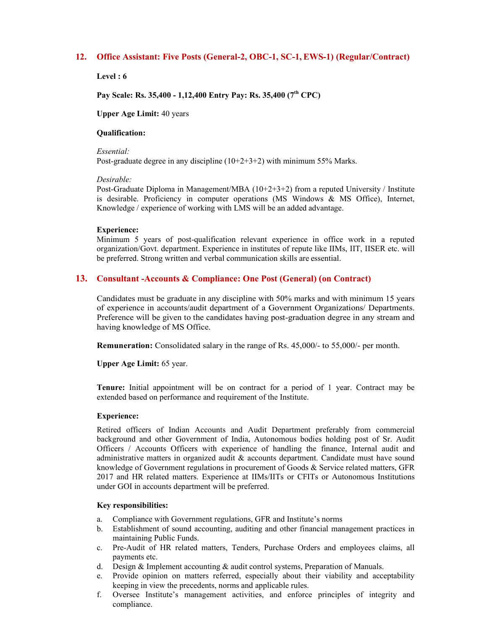## **12. Office Assistant: Five Posts (General-2, OBC-1, SC-1, EWS-1) (Regular/Contract)**

**Level : 6** 

**Pay Scale: Rs. 35,400 - 1,12,400 Entry Pay: Rs. 35,400 (7th CPC)** 

**Upper Age Limit:** 40 years

#### **Qualification:**

*Essential:* 

Post-graduate degree in any discipline (10+2+3+2) with minimum 55% Marks.

#### *Desirable:*

Post-Graduate Diploma in Management/MBA  $(10+2+3+2)$  from a reputed University / Institute is desirable. Proficiency in computer operations (MS Windows & MS Office), Internet, Knowledge / experience of working with LMS will be an added advantage.

#### **Experience:**

Minimum 5 years of post-qualification relevant experience in office work in a reputed organization/Govt. department. Experience in institutes of repute like IIMs, IIT, IISER etc. will be preferred. Strong written and verbal communication skills are essential.

## **13. Consultant -Accounts & Compliance: One Post (General) (on Contract)**

Candidates must be graduate in any discipline with 50% marks and with minimum 15 years of experience in accounts/audit department of a Government Organizations/ Departments. Preference will be given to the candidates having post-graduation degree in any stream and having knowledge of MS Office.

**Remuneration:** Consolidated salary in the range of Rs. 45,000/- to 55,000/- per month.

**Upper Age Limit:** 65 year.

**Tenure:** Initial appointment will be on contract for a period of 1 year. Contract may be extended based on performance and requirement of the Institute.

#### **Experience:**

Retired officers of Indian Accounts and Audit Department preferably from commercial background and other Government of India, Autonomous bodies holding post of Sr. Audit Officers / Accounts Officers with experience of handling the finance, Internal audit and administrative matters in organized audit  $\&$  accounts department. Candidate must have sound knowledge of Government regulations in procurement of Goods & Service related matters, GFR 2017 and HR related matters. Experience at IIMs/IITs or CFITs or Autonomous Institutions under GOI in accounts department will be preferred.

#### **Key responsibilities:**

- a. Compliance with Government regulations, GFR and Institute's norms
- b. Establishment of sound accounting, auditing and other financial management practices in maintaining Public Funds.
- c. Pre-Audit of HR related matters, Tenders, Purchase Orders and employees claims, all payments etc.
- d. Design  $\&$  Implement accounting  $&$  audit control systems, Preparation of Manuals.
- e. Provide opinion on matters referred, especially about their viability and acceptability keeping in view the precedents, norms and applicable rules.
- f. Oversee Institute's management activities, and enforce principles of integrity and compliance.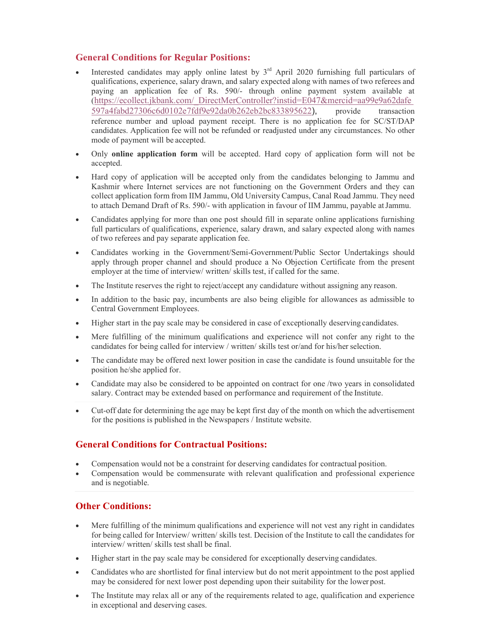## **General Conditions for Regular Positions:**

- Interested candidates may apply online latest by  $3<sup>rd</sup>$  April 2020 furnishing full particulars of qualifications, experience, salary drawn, and salary expected along with names of two referees and paying an application fee of Rs. 590/- through online payment system available at ([https://ecollect.jkbank.com/\\_DirectMerController?instid=E047&mercid=aa99e9a62dafe](https://ecollect.jkbank.com/_DirectMerController?instid=E047&mercid=aa99e9a62dafe) 597a4fabd27306c6d0102e7fdf9e92da0b262eb2bc833895622), provide transaction reference number and upload payment receipt. There is no application fee for SC/ST/DAP candidates. Application fee will not be refunded or readjusted under any circumstances. No other mode of payment will be accepted.
- · Only **online application form** will be accepted. Hard copy of application form will not be accepted.
- · Hard copy of application will be accepted only from the candidates belonging to Jammu and Kashmir where Internet services are not functioning on the Government Orders and they can collect application form from IIM Jammu, Old University Campus, Canal Road Jammu. They need to attach Demand Draft of Rs. 590/- with application in favour of IIM Jammu, payable atJammu.
- Candidates applying for more than one post should fill in separate online applications furnishing full particulars of qualifications, experience, salary drawn, and salary expected along with names of two referees and pay separate application fee.
- · Candidates working in the Government/Semi-Government/Public Sector Undertakings should apply through proper channel and should produce a No Objection Certificate from the present employer at the time of interview/ written/ skills test, if called for the same.
- The Institute reserves the right to reject/accept any candidature without assigning any reason.
- · In addition to the basic pay, incumbents are also being eligible for allowances as admissible to Central Government Employees.
- · Higher start in the pay scale may be considered in case of exceptionally deserving candidates.
- Mere fulfilling of the minimum qualifications and experience will not confer any right to the candidates for being called for interview / written/ skills test or/and for his/her selection.
- The candidate may be offered next lower position in case the candidate is found unsuitable for the position he/she applied for.
- · Candidate may also be considered to be appointed on contract for one /two years in consolidated salary. Contract may be extended based on performance and requirement of the Institute.
- · Cut-off date for determining the age may be kept first day of the month on which the advertisement for the positions is published in the Newspapers / Institute website.

# **General Conditions for Contractual Positions:**

- · Compensation would not be a constraint for deserving candidates for contractual position.
- · Compensation would be commensurate with relevant qualification and professional experience and is negotiable.

# **Other Conditions:**

- Mere fulfilling of the minimum qualifications and experience will not vest any right in candidates for being called for Interview/ written/ skills test. Decision of the Institute to call the candidates for interview/ written/ skills test shall be final.
- · Higher start in the pay scale may be considered for exceptionally deserving candidates.
- · Candidates who are shortlisted for final interview but do not merit appointment to the post applied may be considered for next lower post depending upon their suitability for the lower post.
- The Institute may relax all or any of the requirements related to age, qualification and experience in exceptional and deserving cases.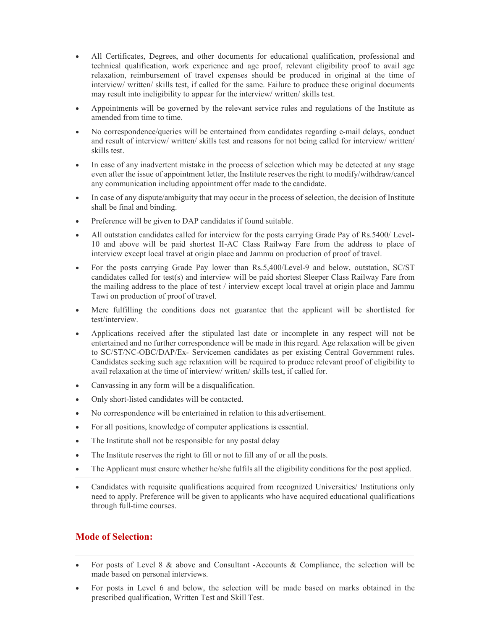- · All Certificates, Degrees, and other documents for educational qualification, professional and technical qualification, work experience and age proof, relevant eligibility proof to avail age relaxation, reimbursement of travel expenses should be produced in original at the time of interview/ written/ skills test, if called for the same. Failure to produce these original documents may result into ineligibility to appear for the interview/ written/ skills test.
- · Appointments will be governed by the relevant service rules and regulations of the Institute as amended from time to time.
- · No correspondence/queries will be entertained from candidates regarding e-mail delays, conduct and result of interview/ written/ skills test and reasons for not being called for interview/ written/ skills test.
- In case of any inadvertent mistake in the process of selection which may be detected at any stage even after the issue of appointment letter, the Institute reserves the right to modify/withdraw/cancel any communication including appointment offer made to the candidate.
- · In case of any dispute/ambiguity that may occur in the process of selection, the decision of Institute shall be final and binding.
- Preference will be given to DAP candidates if found suitable.
- All outstation candidates called for interview for the posts carrying Grade Pay of Rs.5400/ Level-10 and above will be paid shortest II-AC Class Railway Fare from the address to place of interview except local travel at origin place and Jammu on production of proof of travel.
- · For the posts carrying Grade Pay lower than Rs.5,400/Level-9 and below, outstation, SC/ST candidates called for test(s) and interview will be paid shortest Sleeper Class Railway Fare from the mailing address to the place of test / interview except local travel at origin place and Jammu Tawi on production of proof of travel.
- Mere fulfilling the conditions does not guarantee that the applicant will be shortlisted for test/interview.
- · Applications received after the stipulated last date or incomplete in any respect will not be entertained and no further correspondence will be made in this regard. Age relaxation will be given to SC/ST/NC-OBC/DAP/Ex- Servicemen candidates as per existing Central Government rules. Candidates seeking such age relaxation will be required to produce relevant proof of eligibility to avail relaxation at the time of interview/ written/ skills test, if called for.
- Canvassing in any form will be a disqualification.
- Only short-listed candidates will be contacted.
- · No correspondence will be entertained in relation to this advertisement.
- · For all positions, knowledge of computer applications is essential.
- The Institute shall not be responsible for any postal delay
- The Institute reserves the right to fill or not to fill any of or all the posts.
- The Applicant must ensure whether he/she fulfils all the eligibility conditions for the post applied.
- Candidates with requisite qualifications acquired from recognized Universities/ Institutions only need to apply. Preference will be given to applicants who have acquired educational qualifications through full-time courses.

## **Mode of Selection:**

- For posts of Level 8 & above and Consultant -Accounts & Compliance, the selection will be made based on personal interviews.
- · For posts in Level 6 and below, the selection will be made based on marks obtained in the prescribed qualification, Written Test and Skill Test.